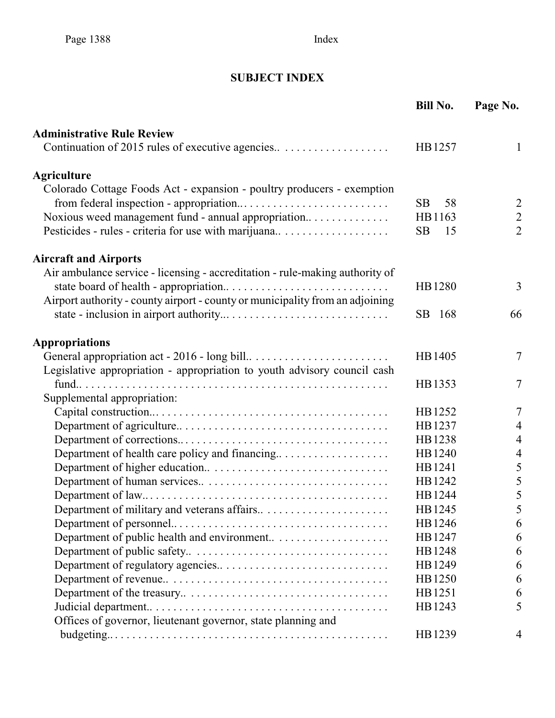# **SUBJECT INDEX**

|                                                                               | <b>Bill No.</b> | Page No.       |
|-------------------------------------------------------------------------------|-----------------|----------------|
| <b>Administrative Rule Review</b>                                             |                 |                |
| Continuation of 2015 rules of executive agencies                              | HB1257          | 1              |
| <b>Agriculture</b>                                                            |                 |                |
| Colorado Cottage Foods Act - expansion - poultry producers - exemption        |                 |                |
|                                                                               | <b>SB</b><br>58 | $\overline{c}$ |
| Noxious weed management fund - annual appropriation                           | HB1163          | $\overline{2}$ |
| Pesticides - rules - criteria for use with marijuana                          | <b>SB</b><br>15 | $\overline{2}$ |
| <b>Aircraft and Airports</b>                                                  |                 |                |
| Air ambulance service - licensing - accreditation - rule-making authority of  |                 |                |
|                                                                               | HB1280          | 3              |
| Airport authority - county airport - county or municipality from an adjoining |                 |                |
|                                                                               | SB 168          | 66             |
| <b>Appropriations</b>                                                         |                 |                |
|                                                                               | HB1405          | 7              |
| Legislative appropriation - appropriation to youth advisory council cash      |                 |                |
|                                                                               | HB1353          | $\overline{7}$ |
| Supplemental appropriation:                                                   |                 |                |
|                                                                               | HB1252          | $\overline{7}$ |
|                                                                               | HB1237          | $\overline{4}$ |
|                                                                               | HB1238          | $\overline{4}$ |
|                                                                               | HB1240          | $\overline{4}$ |
|                                                                               | HB1241          | 5              |
|                                                                               | HB1242          | 5              |
|                                                                               | HB1244          | 5              |
|                                                                               | HB1245          | $\mathcal{S}$  |
|                                                                               | HB1246          | 6              |
|                                                                               | HB1247          | 6              |
|                                                                               | HB1248          | 6              |
|                                                                               | HB1249          | 6              |
|                                                                               | HB1250          | 6              |
|                                                                               | HB1251          | 6              |
|                                                                               | HB1243          | 5              |
| Offices of governor, lieutenant governor, state planning and                  |                 |                |
|                                                                               | HB1239          | 4              |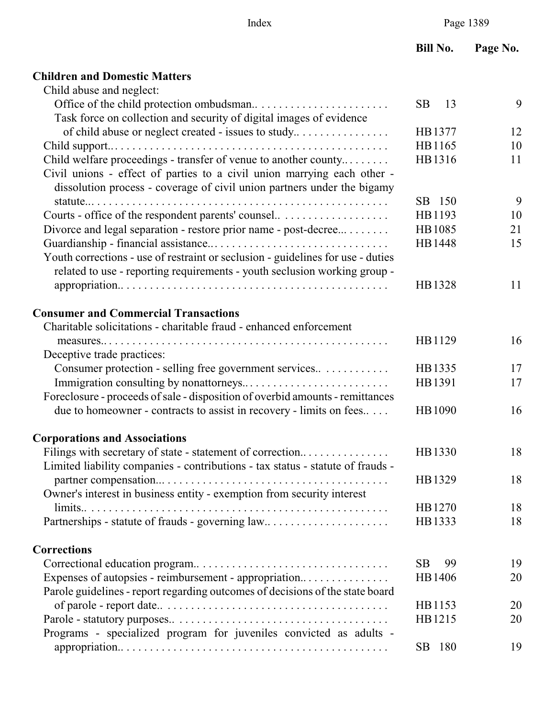## **Children and Domestic Matters**

| Child abuse and neglect:                                                        |                 |    |
|---------------------------------------------------------------------------------|-----------------|----|
|                                                                                 | SB.<br>13       | 9  |
| Task force on collection and security of digital images of evidence             |                 |    |
| of child abuse or neglect created - issues to study                             | HB1377          | 12 |
|                                                                                 | HB1165          | 10 |
| Child welfare proceedings - transfer of venue to another county                 | HB1316          | 11 |
| Civil unions - effect of parties to a civil union marrying each other -         |                 |    |
| dissolution process - coverage of civil union partners under the bigamy         |                 |    |
|                                                                                 | SB 150          | 9  |
| Courts - office of the respondent parents' counsel                              | HB1193          | 10 |
| Divorce and legal separation - restore prior name - post-decree                 | HB1085          | 21 |
|                                                                                 | HB1448          | 15 |
| Youth corrections - use of restraint or seclusion - guidelines for use - duties |                 |    |
| related to use - reporting requirements - youth seclusion working group -       |                 |    |
|                                                                                 | HB1328          | 11 |
|                                                                                 |                 |    |
| <b>Consumer and Commercial Transactions</b>                                     |                 |    |
| Charitable solicitations - charitable fraud - enhanced enforcement              |                 |    |
|                                                                                 | HB1129          | 16 |
| Deceptive trade practices:                                                      |                 |    |
| Consumer protection - selling free government services                          | HB1335          | 17 |
|                                                                                 | HB1391          | 17 |
| Foreclosure - proceeds of sale - disposition of overbid amounts - remittances   |                 |    |
| due to homeowner - contracts to assist in recovery - limits on fees             | HB1090          | 16 |
| <b>Corporations and Associations</b>                                            |                 |    |
| Filings with secretary of state - statement of correction                       | HB1330          | 18 |
| Limited liability companies - contributions - tax status - statute of frauds -  |                 |    |
|                                                                                 | HB1329          | 18 |
| Owner's interest in business entity - exemption from security interest          |                 |    |
| limits                                                                          | HB1270          | 18 |
| Partnerships - statute of frauds - governing law                                | HB1333          | 18 |
|                                                                                 |                 |    |
| <b>Corrections</b>                                                              |                 |    |
|                                                                                 | <b>SB</b><br>99 | 19 |
| Expenses of autopsies - reimbursement - appropriation                           | HB1406          | 20 |
| Parole guidelines - report regarding outcomes of decisions of the state board   |                 |    |
|                                                                                 | HB1153          | 20 |
|                                                                                 | HB1215          | 20 |
| Programs - specialized program for juveniles convicted as adults -              |                 |    |
|                                                                                 | SB 180          | 19 |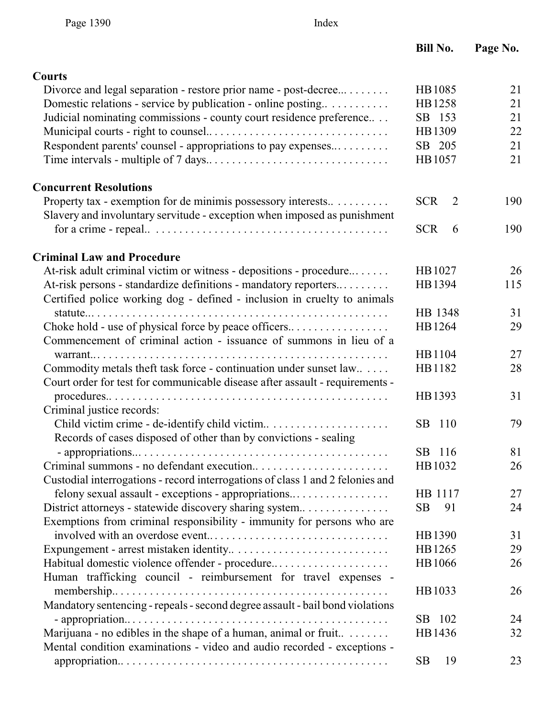| <b>Courts</b>                                                                                                                               |                 |     |
|---------------------------------------------------------------------------------------------------------------------------------------------|-----------------|-----|
| Divorce and legal separation - restore prior name - post-decree                                                                             | HB1085          | 21  |
| Domestic relations - service by publication - online posting                                                                                | HB1258          | 21  |
| Judicial nominating commissions - county court residence preference                                                                         | SB 153          | 21  |
|                                                                                                                                             | HB1309          | 22  |
| Respondent parents' counsel - appropriations to pay expenses                                                                                | SB 205          | 21  |
|                                                                                                                                             | HB1057          | 21  |
| <b>Concurrent Resolutions</b>                                                                                                               |                 |     |
| Property tax - exemption for de minimis possessory interests                                                                                | <b>SCR</b><br>2 | 190 |
| Slavery and involuntary servitude - exception when imposed as punishment                                                                    |                 |     |
|                                                                                                                                             | <b>SCR</b><br>6 | 190 |
| <b>Criminal Law and Procedure</b>                                                                                                           |                 |     |
| At-risk adult criminal victim or witness - depositions - procedure                                                                          | HB1027          | 26  |
| At-risk persons - standardize definitions - mandatory reporters<br>Certified police working dog - defined - inclusion in cruelty to animals | HB1394          | 115 |
|                                                                                                                                             | HB 1348         | 31  |
| Choke hold - use of physical force by peace officers<br>Commencement of criminal action - issuance of summons in lieu of a                  | HB1264          | 29  |
| warrant $\ldots$                                                                                                                            | HB1104          | 27  |
| Commodity metals theft task force - continuation under sunset law                                                                           | HB1182          | 28  |
| Court order for test for communicable disease after assault - requirements -                                                                |                 |     |
| Criminal justice records:                                                                                                                   | HB1393          | 31  |
|                                                                                                                                             | SB 110          | 79  |
| Records of cases disposed of other than by convictions - sealing                                                                            |                 |     |
|                                                                                                                                             | SB 116          | 81  |
|                                                                                                                                             | HB1032          | 26  |
| Custodial interrogations - record interrogations of class 1 and 2 felonies and                                                              |                 |     |
| felony sexual assault - exceptions - appropriations                                                                                         | HB 1117         | 27  |
| District attorneys - statewide discovery sharing system                                                                                     | <b>SB</b><br>91 | 24  |
| Exemptions from criminal responsibility - immunity for persons who are                                                                      |                 |     |
|                                                                                                                                             | HB1390          | 31  |
|                                                                                                                                             | HB1265          | 29  |
| Habitual domestic violence offender - procedure                                                                                             | HB1066          | 26  |
| Human trafficking council - reimbursement for travel expenses -                                                                             |                 |     |
|                                                                                                                                             | HB1033          | 26  |
| Mandatory sentencing - repeals - second degree assault - bail bond violations                                                               |                 |     |
|                                                                                                                                             | SB 102          | 24  |
| Marijuana - no edibles in the shape of a human, animal or fruit<br>Mental condition examinations - video and audio recorded - exceptions -  | HB1436          | 32  |
|                                                                                                                                             | 19<br><b>SB</b> | 23  |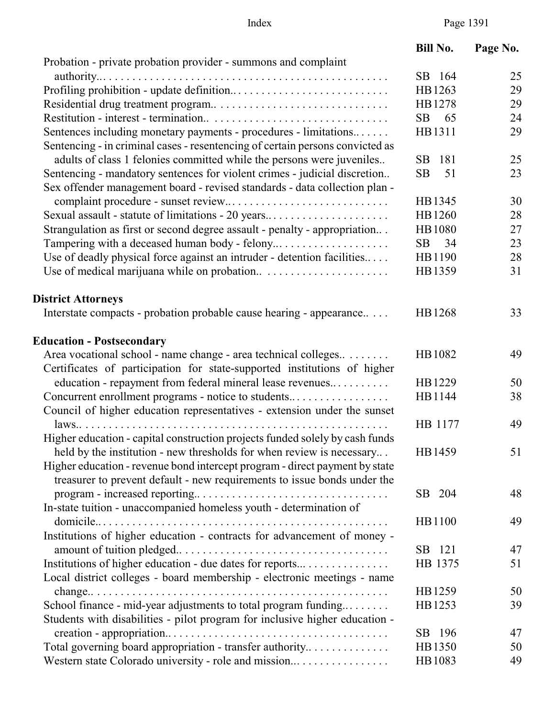|                                                                               | <b>Bill No.</b> | Page No. |
|-------------------------------------------------------------------------------|-----------------|----------|
| Probation - private probation provider - summons and complaint                |                 |          |
|                                                                               | SB 164          | 25       |
|                                                                               | HB1263          | 29       |
|                                                                               | HB1278          | 29       |
|                                                                               | <b>SB</b><br>65 | 24       |
| Sentences including monetary payments - procedures - limitations              | HB1311          | 29       |
| Sentencing - in criminal cases - resentencing of certain persons convicted as |                 |          |
| adults of class 1 felonies committed while the persons were juveniles         | SB<br>181       | 25       |
| Sentencing - mandatory sentences for violent crimes - judicial discretion     | <b>SB</b><br>51 | 23       |
| Sex offender management board - revised standards - data collection plan -    |                 |          |
|                                                                               | HB1345          | 30       |
| Sexual assault - statute of limitations - 20 years                            | HB1260          | 28       |
| Strangulation as first or second degree assault - penalty - appropriation     | HB1080          | 27       |
|                                                                               | SB<br>34        | 23       |
| Use of deadly physical force against an intruder - detention facilities       | HB1190          | 28       |
|                                                                               | HB1359          | 31       |
|                                                                               |                 |          |
| <b>District Attorneys</b>                                                     |                 |          |
| Interstate compacts - probation probable cause hearing - appearance           | HB1268          | 33       |
| <b>Education - Postsecondary</b>                                              |                 |          |
| Area vocational school - name change - area technical colleges                | HB1082          | 49       |
| Certificates of participation for state-supported institutions of higher      |                 |          |
| education - repayment from federal mineral lease revenues                     | HB1229          | 50       |
| Concurrent enrollment programs - notice to students                           | HB1144          | 38       |
| Council of higher education representatives - extension under the sunset      |                 |          |
|                                                                               | HB 1177         | 49       |
| Higher education - capital construction projects funded solely by cash funds  |                 |          |
| held by the institution - new thresholds for when review is necessary         | HB1459          | 51       |
| Higher education - revenue bond intercept program - direct payment by state   |                 |          |
| treasurer to prevent default - new requirements to issue bonds under the      |                 |          |
|                                                                               | SB 204          | 48       |
| In-state tuition - unaccompanied homeless youth - determination of            |                 |          |
|                                                                               | HB1100          | 49       |
| Institutions of higher education - contracts for advancement of money -       |                 |          |
|                                                                               | SB 121          | 47       |
| Institutions of higher education - due dates for reports                      | HB 1375         | 51       |
| Local district colleges - board membership - electronic meetings - name       |                 |          |
|                                                                               | HB1259          | 50       |
| School finance - mid-year adjustments to total program funding                | HB1253          | 39       |
| Students with disabilities - pilot program for inclusive higher education -   |                 |          |
|                                                                               | SB 196          | 47       |
| Total governing board appropriation - transfer authority                      | HB1350          | 50       |
| Western state Colorado university - role and mission                          | HB1083          | 49       |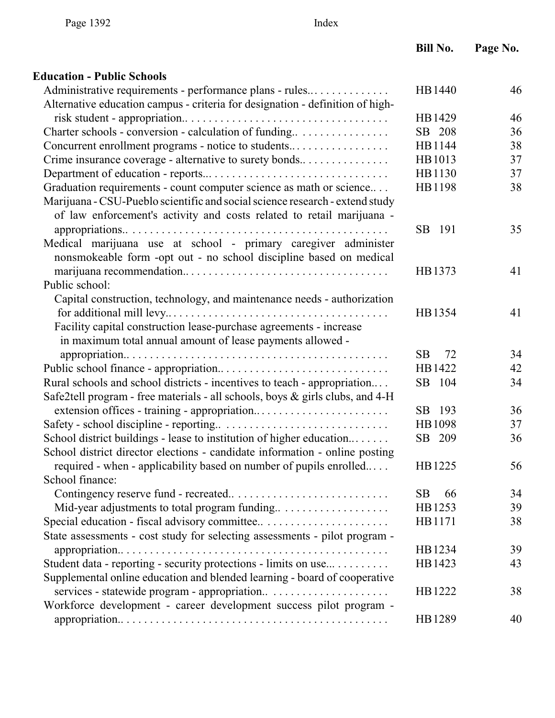## **Education - Public Schools**

| Administrative requirements - performance plans - rules                       | HB1440          | 46 |
|-------------------------------------------------------------------------------|-----------------|----|
| Alternative education campus - criteria for designation - definition of high- |                 |    |
|                                                                               | HB1429          | 46 |
| Charter schools - conversion - calculation of funding                         | SB 208          | 36 |
| Concurrent enrollment programs - notice to students                           | HB1144          | 38 |
| Crime insurance coverage - alternative to surety bonds                        | HB1013          | 37 |
|                                                                               | HB1130          | 37 |
| Graduation requirements - count computer science as math or science           | HB1198          | 38 |
| Marijuana - CSU-Pueblo scientific and social science research - extend study  |                 |    |
| of law enforcement's activity and costs related to retail marijuana -         |                 |    |
|                                                                               | SB 191          | 35 |
| Medical marijuana use at school - primary caregiver administer                |                 |    |
| nonsmokeable form -opt out - no school discipline based on medical            |                 |    |
|                                                                               | HB1373          | 41 |
| Public school:                                                                |                 |    |
| Capital construction, technology, and maintenance needs - authorization       |                 |    |
|                                                                               | HB1354          | 41 |
| Facility capital construction lease-purchase agreements - increase            |                 |    |
| in maximum total annual amount of lease payments allowed -                    |                 |    |
|                                                                               | <b>SB</b><br>72 | 34 |
|                                                                               | HB1422          | 42 |
| Rural schools and school districts - incentives to teach - appropriation      | SB 104          | 34 |
| Safe2tell program - free materials - all schools, boys & girls clubs, and 4-H |                 |    |
|                                                                               | SB 193          | 36 |
|                                                                               | HB1098          | 37 |
| School district buildings - lease to institution of higher education          | SB 209          | 36 |
| School district director elections - candidate information - online posting   |                 |    |
| required - when - applicability based on number of pupils enrolled            | HB1225          | 56 |
| School finance:                                                               |                 |    |
|                                                                               | SB<br>66        | 34 |
| Mid-year adjustments to total program funding                                 | HB1253          | 39 |
|                                                                               | HB1171          | 38 |
| State assessments - cost study for selecting assessments - pilot program -    |                 |    |
|                                                                               | HB1234          | 39 |
| Student data - reporting - security protections - limits on use               | HB1423          | 43 |
| Supplemental online education and blended learning - board of cooperative     |                 |    |
|                                                                               | HB1222          | 38 |
| Workforce development - career development success pilot program -            |                 |    |
|                                                                               | HB1289          | 40 |
|                                                                               |                 |    |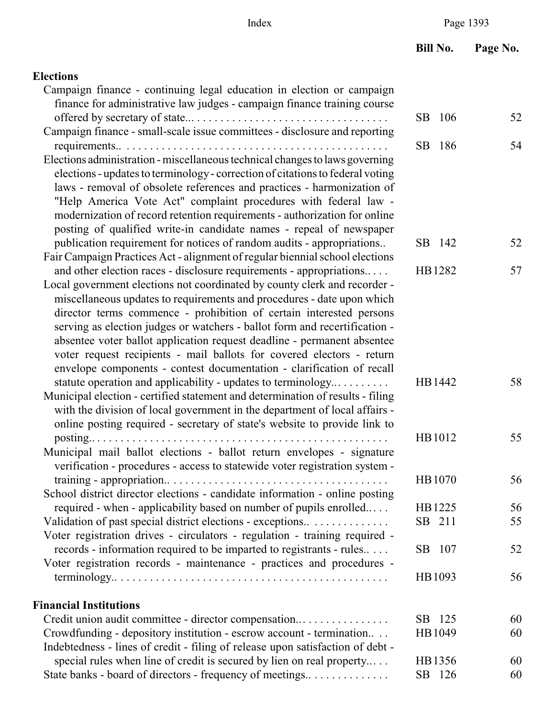| <b>Elections</b> |  |
|------------------|--|
|------------------|--|

| Campaign finance - continuing legal education in election or campaign          |        |    |
|--------------------------------------------------------------------------------|--------|----|
| finance for administrative law judges - campaign finance training course       |        |    |
|                                                                                | SB 106 | 52 |
| Campaign finance - small-scale issue committees - disclosure and reporting     |        |    |
| Elections administration - miscellaneous technical changes to laws governing   | SB 186 | 54 |
| elections - updates to terminology - correction of citations to federal voting |        |    |
| laws - removal of obsolete references and practices - harmonization of         |        |    |
| "Help America Vote Act" complaint procedures with federal law -                |        |    |
| modernization of record retention requirements - authorization for online      |        |    |
| posting of qualified write-in candidate names - repeal of newspaper            |        |    |
| publication requirement for notices of random audits - appropriations          | SB 142 | 52 |
| Fair Campaign Practices Act - alignment of regular biennial school elections   |        |    |
| and other election races - disclosure requirements - appropriations            | HB1282 | 57 |
| Local government elections not coordinated by county clerk and recorder -      |        |    |
| miscellaneous updates to requirements and procedures - date upon which         |        |    |
| director terms commence - prohibition of certain interested persons            |        |    |
| serving as election judges or watchers - ballot form and recertification -     |        |    |
| absentee voter ballot application request deadline - permanent absentee        |        |    |
| voter request recipients - mail ballots for covered electors - return          |        |    |
| envelope components - contest documentation - clarification of recall          |        |    |
| statute operation and applicability - updates to terminology                   | HB1442 | 58 |
| Municipal election - certified statement and determination of results - filing |        |    |
| with the division of local government in the department of local affairs -     |        |    |
| online posting required - secretary of state's website to provide link to      | HB1012 | 55 |
| Municipal mail ballot elections - ballot return envelopes - signature          |        |    |
| verification - procedures - access to statewide voter registration system -    |        |    |
|                                                                                | HB1070 | 56 |
| School district director elections - candidate information - online posting    |        |    |
| required - when - applicability based on number of pupils enrolled             | HB1225 | 56 |
| Validation of past special district elections - exceptions                     | SB 211 | 55 |
| Voter registration drives - circulators - regulation - training required -     |        |    |
| records - information required to be imparted to registrants - rules           | SB 107 | 52 |
| Voter registration records - maintenance - practices and procedures -          |        |    |
|                                                                                | HB1093 | 56 |
| <b>Financial Institutions</b>                                                  |        |    |
| Credit union audit committee - director compensation                           | SB 125 | 60 |
| Crowdfunding - depository institution - escrow account - termination           | HB1049 | 60 |
| Indebtedness - lines of credit - filing of release upon satisfaction of debt - |        |    |
| special rules when line of credit is secured by lien on real property          | HB1356 | 60 |
| State banks - board of directors - frequency of meetings                       | SB 126 | 60 |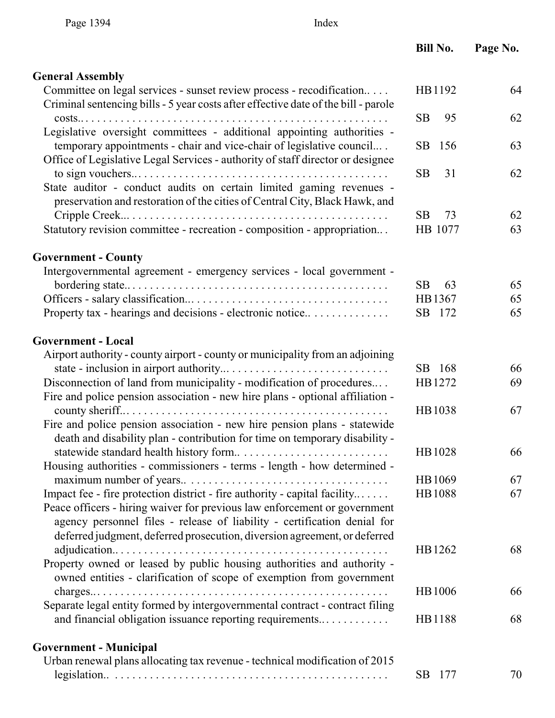| Page 1394                     | Index                                                                                                                                                                                                                                                                                                           |                 |          |
|-------------------------------|-----------------------------------------------------------------------------------------------------------------------------------------------------------------------------------------------------------------------------------------------------------------------------------------------------------------|-----------------|----------|
|                               |                                                                                                                                                                                                                                                                                                                 | <b>Bill No.</b> | Page No. |
| <b>General Assembly</b>       |                                                                                                                                                                                                                                                                                                                 |                 |          |
|                               | Committee on legal services - sunset review process - recodification<br>Criminal sentencing bills - 5 year costs after effective date of the bill - parole                                                                                                                                                      | HB1192          | 64       |
| $costs$                       | .<br>Legislative oversight committees - additional appointing authorities -                                                                                                                                                                                                                                     | <b>SB</b><br>95 | 62       |
|                               | temporary appointments - chair and vice-chair of legislative council<br>Office of Legislative Legal Services - authority of staff director or designee                                                                                                                                                          | SB<br>156       | 63       |
|                               | State auditor - conduct audits on certain limited gaming revenues -                                                                                                                                                                                                                                             | <b>SB</b><br>31 | 62       |
|                               | preservation and restoration of the cities of Central City, Black Hawk, and                                                                                                                                                                                                                                     | 73<br>SB        | 62       |
|                               | Statutory revision committee - recreation - composition - appropriation                                                                                                                                                                                                                                         | HB 1077         | 63       |
| <b>Government - County</b>    |                                                                                                                                                                                                                                                                                                                 |                 |          |
|                               | Intergovernmental agreement - emergency services - local government -                                                                                                                                                                                                                                           | <b>SB</b><br>63 | 65       |
|                               |                                                                                                                                                                                                                                                                                                                 | HB1367          | 65       |
|                               | Property tax - hearings and decisions - electronic notice                                                                                                                                                                                                                                                       | SB<br>172       | 65       |
| <b>Government - Local</b>     |                                                                                                                                                                                                                                                                                                                 |                 |          |
|                               | Airport authority - county airport - county or municipality from an adjoining                                                                                                                                                                                                                                   |                 |          |
|                               |                                                                                                                                                                                                                                                                                                                 | SB 168          | 66       |
|                               | Disconnection of land from municipality - modification of procedures<br>Fire and police pension association - new hire plans - optional affiliation -                                                                                                                                                           | HB1272          | 69       |
|                               | Fire and police pension association - new hire pension plans - statewide<br>death and disability plan - contribution for time on temporary disability -                                                                                                                                                         | HB1038          | 67       |
|                               | Housing authorities - commissioners - terms - length - how determined -                                                                                                                                                                                                                                         | HB1028          | 66       |
|                               |                                                                                                                                                                                                                                                                                                                 | HB1069          | 67       |
|                               | Impact fee - fire protection district - fire authority - capital facility<br>Peace officers - hiring waiver for previous law enforcement or government<br>agency personnel files - release of liability - certification denial for<br>deferred judgment, deferred prosecution, diversion agreement, or deferred | HB1088          | 67       |
|                               | Property owned or leased by public housing authorities and authority -                                                                                                                                                                                                                                          | HB1262          | 68       |
|                               | owned entities - clarification of scope of exemption from government                                                                                                                                                                                                                                            | HB1006          | 66       |
|                               | Separate legal entity formed by intergovernmental contract - contract filing<br>and financial obligation issuance reporting requirements                                                                                                                                                                        | HB1188          | 68       |
| <b>Government - Municipal</b> | Urban renewal plans allocating tax revenue - technical modification of 2015                                                                                                                                                                                                                                     |                 |          |

legislation.. . . . . . . . . . . . . . . . . . . . . . . . . . . . . . . . . . . . . . . . . . . . . . . . SB 177 70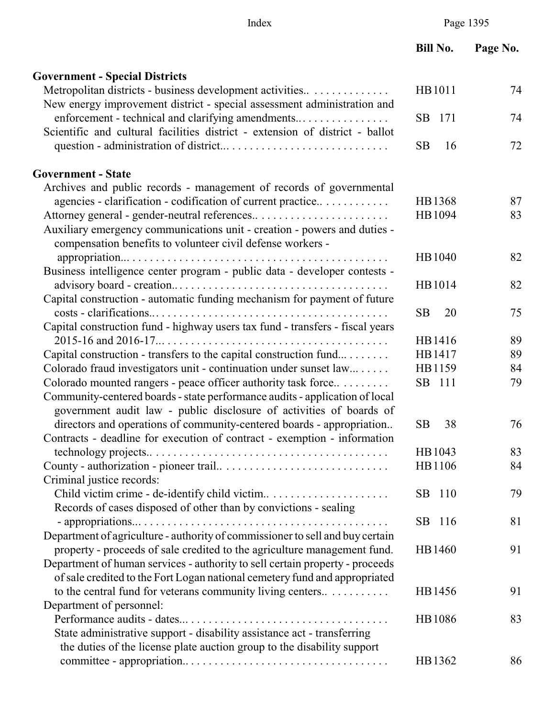**Bill No. Page No.** 

| <b>Government - Special Districts</b>                                         |                 |    |
|-------------------------------------------------------------------------------|-----------------|----|
| Metropolitan districts - business development activities                      | HB1011          | 74 |
| New energy improvement district - special assessment administration and       |                 |    |
| enforcement - technical and clarifying amendments                             | SB 171          | 74 |
| Scientific and cultural facilities district - extension of district - ballot  |                 |    |
|                                                                               | <b>SB</b><br>16 | 72 |
| <b>Government - State</b>                                                     |                 |    |
| Archives and public records - management of records of governmental           |                 |    |
| agencies - clarification - codification of current practice                   | HB1368          | 87 |
|                                                                               | HB1094          | 83 |
| Auxiliary emergency communications unit - creation - powers and duties -      |                 |    |
| compensation benefits to volunteer civil defense workers -                    |                 |    |
|                                                                               | HB1040          | 82 |
| Business intelligence center program - public data - developer contests -     |                 |    |
|                                                                               | HB1014          | 82 |
| Capital construction - automatic funding mechanism for payment of future      |                 |    |
|                                                                               | 20<br><b>SB</b> | 75 |
| Capital construction fund - highway users tax fund - transfers - fiscal years |                 |    |
|                                                                               | HB1416          | 89 |
| Capital construction - transfers to the capital construction fund             | HB1417          | 89 |
| Colorado fraud investigators unit - continuation under sunset law             | HB1159          | 84 |
| Colorado mounted rangers - peace officer authority task force                 | SB 111          | 79 |
| Community-centered boards - state performance audits - application of local   |                 |    |
| government audit law - public disclosure of activities of boards of           |                 |    |
| directors and operations of community-centered boards - appropriation         | <b>SB</b><br>38 | 76 |
| Contracts - deadline for execution of contract - exemption - information      |                 |    |
|                                                                               | HB1043          | 83 |
|                                                                               | HB1106          | 84 |
| Criminal justice records:                                                     |                 |    |
|                                                                               | SB 110          | 79 |
| Records of cases disposed of other than by convictions - sealing              |                 |    |
| - appropriations $\dots$                                                      | SB 116          | 81 |
| Department of agriculture - authority of commissioner to sell and buy certain |                 |    |
| property - proceeds of sale credited to the agriculture management fund.      | HB1460          | 91 |
| Department of human services - authority to sell certain property - proceeds  |                 |    |
| of sale credited to the Fort Logan national cemetery fund and appropriated    |                 |    |
| to the central fund for veterans community living centers                     | HB1456          | 91 |
| Department of personnel:                                                      |                 |    |
|                                                                               | HB1086          | 83 |
| State administrative support - disability assistance act - transferring       |                 |    |
| the duties of the license plate auction group to the disability support       |                 |    |
|                                                                               | HB1362          | 86 |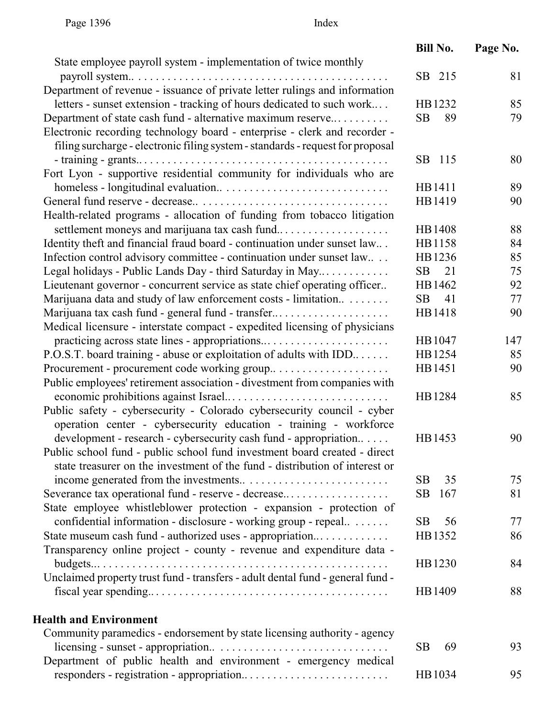|                                                                                | <b>Bill No.</b> | Page No. |
|--------------------------------------------------------------------------------|-----------------|----------|
| State employee payroll system - implementation of twice monthly                | SB 215          | 81       |
| Department of revenue - issuance of private letter rulings and information     |                 |          |
|                                                                                |                 | 85       |
| letters - sunset extension - tracking of hours dedicated to such work          | HB1232          |          |
| Department of state cash fund - alternative maximum reserve                    | SB<br>89        | 79       |
| Electronic recording technology board - enterprise - clerk and recorder -      |                 |          |
| filing surcharge - electronic filing system - standards - request for proposal |                 |          |
|                                                                                | SB 115          | 80       |
| Fort Lyon - supportive residential community for individuals who are           |                 |          |
|                                                                                | HB1411          | 89       |
|                                                                                | HB1419          | 90       |
| Health-related programs - allocation of funding from tobacco litigation        |                 |          |
| settlement moneys and marijuana tax cash fund                                  | HB1408          | 88       |
| Identity theft and financial fraud board - continuation under sunset law       | HB1158          | 84       |
| Infection control advisory committee - continuation under sunset law           | HB1236          | 85       |
| Legal holidays - Public Lands Day - third Saturday in May                      | SB<br>21        | 75       |
| Lieutenant governor - concurrent service as state chief operating officer      | HB1462          | 92       |
| Marijuana data and study of law enforcement costs - limitation                 | SB<br>41        | 77       |
| Marijuana tax cash fund - general fund - transfer                              | HB1418          | 90       |
| Medical licensure - interstate compact - expedited licensing of physicians     |                 |          |
| practicing across state lines - appropriations                                 | HB1047          | 147      |
| P.O.S.T. board training - abuse or exploitation of adults with IDD             | HB1254          | 85       |
|                                                                                | HB1451          | 90       |
| Public employees' retirement association - divestment from companies with      |                 |          |
|                                                                                | HB1284          | 85       |
| Public safety - cybersecurity - Colorado cybersecurity council - cyber         |                 |          |
| operation center - cybersecurity education - training - workforce              |                 |          |
| development - research - cybersecurity cash fund - appropriation               | HB1453          | 90       |
| Public school fund - public school fund investment board created - direct      |                 |          |
| state treasurer on the investment of the fund - distribution of interest or    |                 |          |
|                                                                                | <b>SB</b><br>35 | 75       |
| Severance tax operational fund - reserve - decrease                            | SB<br>167       | 81       |
| State employee whistleblower protection - expansion - protection of            |                 |          |
| confidential information - disclosure - working group - repeal                 | <b>SB</b><br>56 | 77       |
| State museum cash fund - authorized uses - appropriation                       | HB1352          | 86       |
| Transparency online project - county - revenue and expenditure data -          |                 |          |
|                                                                                | HB1230          | 84       |
| Unclaimed property trust fund - transfers - adult dental fund - general fund - |                 |          |
|                                                                                | HB1409          | 88       |
|                                                                                |                 |          |
| <b>Health and Environment</b>                                                  |                 |          |
| Community paramedics - endorsement by state licensing authority - agency       |                 |          |
|                                                                                | 69<br><b>SB</b> | 93       |
| Department of public health and environment - emergency medical                |                 |          |
|                                                                                | HB1034          | 95       |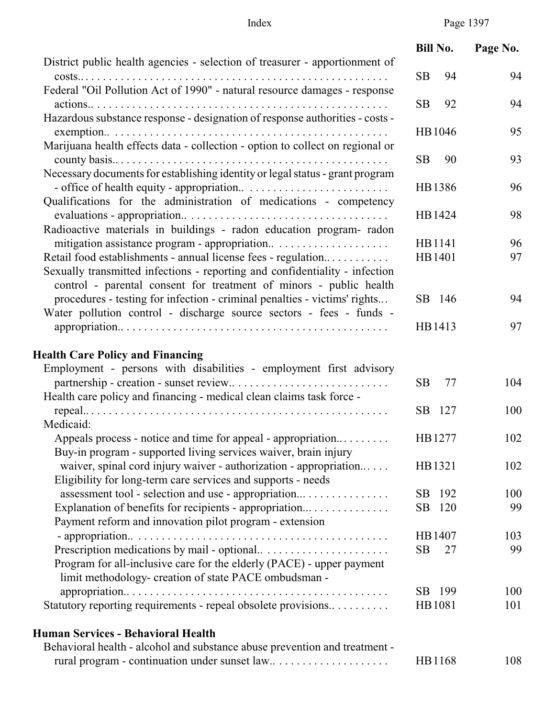Index Page 1397

|                                                                                                                                                                                                                    | <b>Bill No.</b> | Page No. |
|--------------------------------------------------------------------------------------------------------------------------------------------------------------------------------------------------------------------|-----------------|----------|
| District public health agencies - selection of treasurer - apportionment of                                                                                                                                        | <b>SB</b><br>94 | 94       |
| Federal "Oil Pollution Act of 1990" - natural resource damages - response                                                                                                                                          | SВ<br>92        | 94       |
| Hazardous substance response - designation of response authorities - costs -                                                                                                                                       |                 |          |
| Marijuana health effects data - collection - option to collect on regional or                                                                                                                                      | HB1046          | 95       |
| Necessary documents for establishing identity or legal status - grant program                                                                                                                                      | SВ<br>90        | 93       |
|                                                                                                                                                                                                                    | HB1386          | 96       |
| Qualifications for the administration of medications - competency                                                                                                                                                  | HB1424          | 98       |
| Radioactive materials in buildings - radon education program- radon                                                                                                                                                | HB1141          | 96       |
| Retail food establishments - annual license fees - regulation<br>Sexually transmitted infections - reporting and confidentiality - infection<br>control - parental consent for treatment of minors - public health | HB1401          | 97       |
| procedures - testing for infection - criminal penalties - victims' rights<br>Water pollution control - discharge source sectors - fees - funds -                                                                   | SB 146          | 94       |
|                                                                                                                                                                                                                    | HB1413          | 97       |
| <b>Health Care Policy and Financing</b>                                                                                                                                                                            |                 |          |
| Employment - persons with disabilities - employment first advisory                                                                                                                                                 |                 |          |
|                                                                                                                                                                                                                    | <b>SB</b><br>77 | 104      |
| Health care policy and financing - medical clean claims task force -                                                                                                                                               |                 |          |
| Medicaid:                                                                                                                                                                                                          | SB<br>127       | 100      |
| Appeals process - notice and time for appeal - appropriation<br>Buy-in program - supported living services waiver, brain injury                                                                                    | HB1277          | 102      |
| waiver, spinal cord injury waiver - authorization - appropriation<br>Eligibility for long-term care services and supports - needs                                                                                  | HB1321          | 102      |
|                                                                                                                                                                                                                    | SB<br>192       | 100      |
| Explanation of benefits for recipients - appropriation<br>Payment reform and innovation pilot program - extension                                                                                                  | 120<br>SB       | 99       |
|                                                                                                                                                                                                                    | HB1407          | 103      |
|                                                                                                                                                                                                                    | <b>SB</b><br>27 | 99       |
| Program for all-inclusive care for the elderly (PACE) - upper payment<br>limit methodology- creation of state PACE ombudsman -                                                                                     |                 |          |
|                                                                                                                                                                                                                    | SB 199          | 100      |
| Statutory reporting requirements - repeal obsolete provisions                                                                                                                                                      | HB1081          | 101      |
| Human Services - Behavioral Health                                                                                                                                                                                 |                 |          |
| Behavioral health - alcohol and substance abuse prevention and treatment -                                                                                                                                         |                 |          |
|                                                                                                                                                                                                                    | HB1168          | 108      |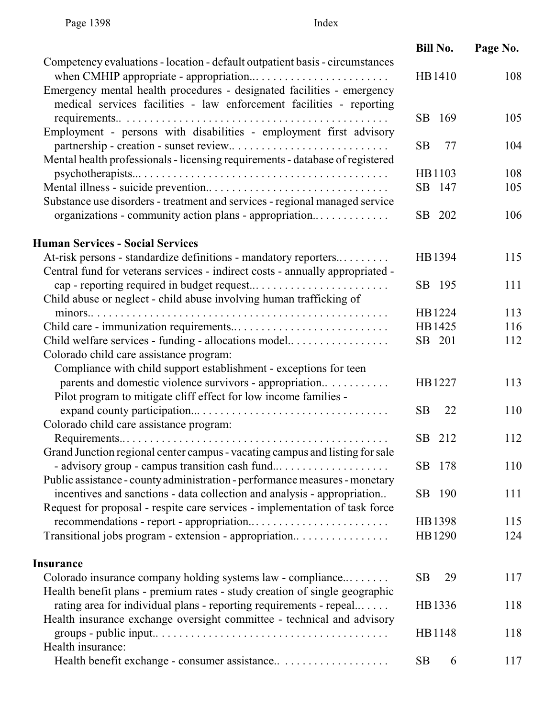|                                                                               | <b>Bill No.</b> | Page No. |
|-------------------------------------------------------------------------------|-----------------|----------|
| Competency evaluations - location - default outpatient basis - circumstances  |                 |          |
|                                                                               | HB1410          | 108      |
| Emergency mental health procedures - designated facilities - emergency        |                 |          |
| medical services facilities - law enforcement facilities - reporting          | SB 169          | 105      |
| Employment - persons with disabilities - employment first advisory            |                 |          |
|                                                                               | <b>SB</b><br>77 | 104      |
| Mental health professionals - licensing requirements - database of registered |                 |          |
|                                                                               | HB1103          | 108      |
|                                                                               | SB 147          | 105      |
| Substance use disorders - treatment and services - regional managed service   |                 |          |
| organizations - community action plans - appropriation                        | SB 202          | 106      |
| <b>Human Services - Social Services</b>                                       |                 |          |
| At-risk persons - standardize definitions - mandatory reporters               | HB1394          | 115      |
| Central fund for veterans services - indirect costs - annually appropriated - |                 |          |
|                                                                               | SB 195          | 111      |
| Child abuse or neglect - child abuse involving human trafficking of           |                 |          |
|                                                                               | HB1224          | 113      |
|                                                                               | HB1425          | 116      |
| Child welfare services - funding - allocations model                          | SB 201          | 112      |
| Colorado child care assistance program:                                       |                 |          |
| Compliance with child support establishment - exceptions for teen             |                 |          |
| parents and domestic violence survivors - appropriation                       | HB1227          | 113      |
| Pilot program to mitigate cliff effect for low income families -              |                 |          |
|                                                                               | 22<br><b>SB</b> | 110      |
| Colorado child care assistance program:                                       |                 |          |
|                                                                               | SB 212          | 112      |
| Grand Junction regional center campus - vacating campus and listing for sale  | SB 178          | 110      |
| Public assistance - county administration - performance measures - monetary   |                 |          |
| incentives and sanctions - data collection and analysis - appropriation       | 190<br>SB.      | 111      |
| Request for proposal - respite care services - implementation of task force   |                 |          |
|                                                                               | HB1398          | 115      |
| Transitional jobs program - extension - appropriation                         | HB1290          | 124      |
|                                                                               |                 |          |
| <b>Insurance</b>                                                              |                 |          |
| Colorado insurance company holding systems law - compliance                   | 29<br><b>SB</b> | 117      |
| Health benefit plans - premium rates - study creation of single geographic    |                 |          |
| rating area for individual plans - reporting requirements - repeal            | HB1336          | 118      |
| Health insurance exchange oversight committee - technical and advisory        |                 |          |
|                                                                               | HB1148          | 118      |
| Health insurance:                                                             |                 |          |
|                                                                               | <b>SB</b><br>6  | 117      |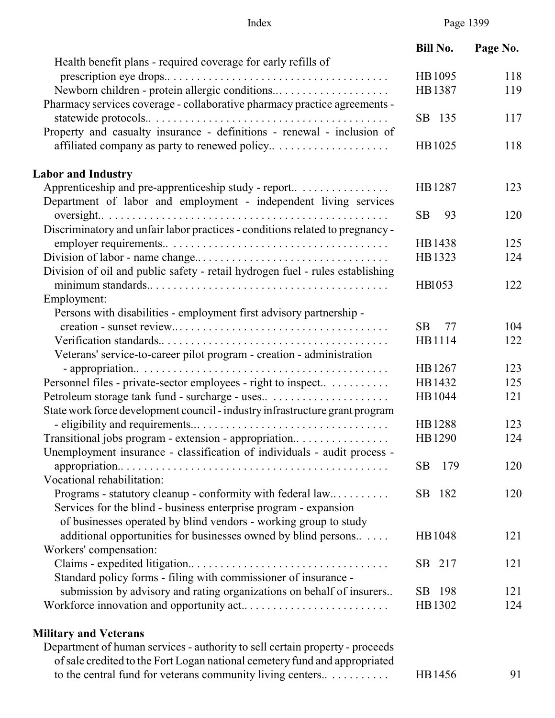| Page 1399 |  |
|-----------|--|
|-----------|--|

|                                                                                                                             | <b>Bill No.</b> | Page No. |
|-----------------------------------------------------------------------------------------------------------------------------|-----------------|----------|
| Health benefit plans - required coverage for early refills of                                                               |                 |          |
|                                                                                                                             | HB1095          | 118      |
| Newborn children - protein allergic conditions<br>Pharmacy services coverage - collaborative pharmacy practice agreements - | HB1387          | 119      |
|                                                                                                                             | SB 135          | 117      |
| Property and casualty insurance - definitions - renewal - inclusion of                                                      |                 |          |
|                                                                                                                             | HB1025          | 118      |
| <b>Labor and Industry</b>                                                                                                   |                 |          |
| Apprenticeship and pre-apprenticeship study - report                                                                        | HB1287          | 123      |
| Department of labor and employment - independent living services                                                            |                 |          |
| Discriminatory and unfair labor practices - conditions related to pregnancy -                                               | 93<br>SB        | 120      |
|                                                                                                                             | HB1438          | 125      |
|                                                                                                                             | HB1323          | 124      |
| Division of oil and public safety - retail hydrogen fuel - rules establishing                                               |                 |          |
|                                                                                                                             | HB1053          | 122      |
| Employment:                                                                                                                 |                 |          |
| Persons with disabilities - employment first advisory partnership -                                                         |                 |          |
|                                                                                                                             | 77<br>SB        | 104      |
|                                                                                                                             | HB1114          | 122      |
| Veterans' service-to-career pilot program - creation - administration                                                       |                 |          |
|                                                                                                                             | HB1267          | 123      |
| Personnel files - private-sector employees - right to inspect                                                               | HB1432          | 125      |
|                                                                                                                             | HB1044          | 121      |
| State work force development council - industry infrastructure grant program                                                |                 |          |
|                                                                                                                             | HB1288          | 123      |
| Transitional jobs program - extension - appropriation                                                                       | HB1290          | 124      |
| Unemployment insurance - classification of individuals - audit process -                                                    |                 |          |
|                                                                                                                             | 179<br>SB       | 120      |
| Vocational rehabilitation:                                                                                                  |                 |          |
| Programs - statutory cleanup - conformity with federal law                                                                  | SB 182          | 120      |
| Services for the blind - business enterprise program - expansion                                                            |                 |          |
| of businesses operated by blind vendors - working group to study                                                            |                 |          |
| additional opportunities for businesses owned by blind persons                                                              | HB1048          | 121      |
| Workers' compensation:                                                                                                      |                 |          |
|                                                                                                                             | SB 217          | 121      |
| Standard policy forms - filing with commissioner of insurance -                                                             |                 |          |
| submission by advisory and rating organizations on behalf of insurers                                                       | SB 198          | 121      |
|                                                                                                                             | HB1302          | 124      |
| <b>Military and Veterans</b>                                                                                                |                 |          |
| Department of human services - authority to sell certain property - proceeds                                                |                 |          |
|                                                                                                                             |                 |          |

| of sale credited to the Fort Logan national cemetery fund and appropriated |        |    |
|----------------------------------------------------------------------------|--------|----|
| to the central fund for veterans community living centers                  | HB1456 | 91 |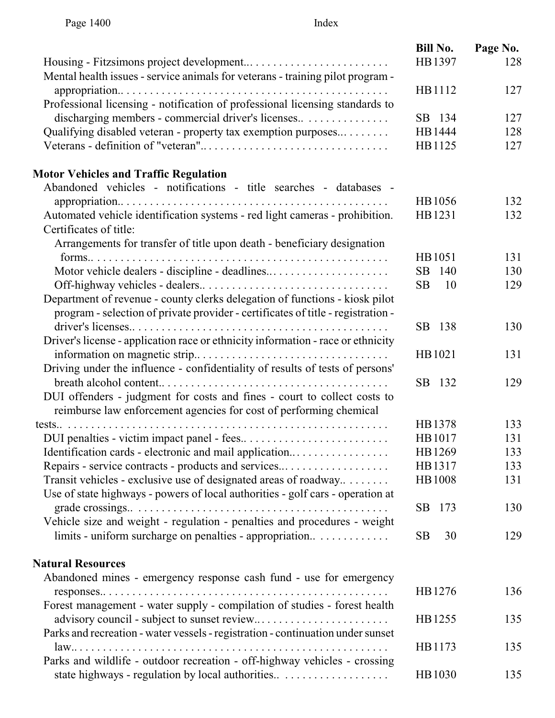|                                                                                  | <b>Bill No.</b>       | Page No. |
|----------------------------------------------------------------------------------|-----------------------|----------|
|                                                                                  | HB1397                | 128      |
| Mental health issues - service animals for veterans - training pilot program -   |                       |          |
|                                                                                  | HB1112                | 127      |
| Professional licensing - notification of professional licensing standards to     |                       |          |
| discharging members - commercial driver's licenses                               | SB 134                | 127      |
| Qualifying disabled veteran - property tax exemption purposes                    | HB1444                | 128      |
|                                                                                  | HB1125                | 127      |
| <b>Motor Vehicles and Traffic Regulation</b>                                     |                       |          |
| Abandoned vehicles - notifications - title searches - databases -                |                       |          |
|                                                                                  | HB1056                | 132      |
| Automated vehicle identification systems - red light cameras - prohibition.      | HB1231                | 132      |
| Certificates of title:                                                           |                       |          |
| Arrangements for transfer of title upon death - beneficiary designation          |                       |          |
|                                                                                  | HB1051                | 131      |
| Motor vehicle dealers - discipline - deadlines                                   | <b>SB</b><br>140      | 130      |
|                                                                                  | <b>SB</b><br>10       | 129      |
| Department of revenue - county clerks delegation of functions - kiosk pilot      |                       |          |
| program - selection of private provider - certificates of title - registration - |                       |          |
|                                                                                  | SB 138                | 130      |
| Driver's license - application race or ethnicity information - race or ethnicity |                       |          |
|                                                                                  | HB1021                | 131      |
| Driving under the influence - confidentiality of results of tests of persons'    |                       |          |
|                                                                                  | SB 132                | 129      |
| DUI offenders - judgment for costs and fines - court to collect costs to         |                       |          |
| reimburse law enforcement agencies for cost of performing chemical               |                       |          |
|                                                                                  | HB1378                | 133      |
|                                                                                  | HB1017                | 131      |
| Identification cards - electronic and mail application                           | HB1269                | 133      |
| Repairs - service contracts - products and services                              | HB1317                | 133      |
| Transit vehicles - exclusive use of designated areas of roadway                  | HB1008                | 131      |
| Use of state highways - powers of local authorities - golf cars - operation at   |                       |          |
|                                                                                  | SB.<br>173            | 130      |
| Vehicle size and weight - regulation - penalties and procedures - weight         |                       |          |
| limits - uniform surcharge on penalties - appropriation                          | SB <sub>1</sub><br>30 | 129      |
| <b>Natural Resources</b>                                                         |                       |          |
| Abandoned mines - emergency response cash fund - use for emergency               |                       |          |
|                                                                                  | HB1276                | 136      |
| Forest management - water supply - compilation of studies - forest health        |                       |          |
|                                                                                  | HB1255                | 135      |
| Parks and recreation - water vessels - registration - continuation under sunset  |                       |          |
|                                                                                  | HB1173                | 135      |
| Parks and wildlife - outdoor recreation - off-highway vehicles - crossing        |                       |          |
|                                                                                  | HB1030                | 135      |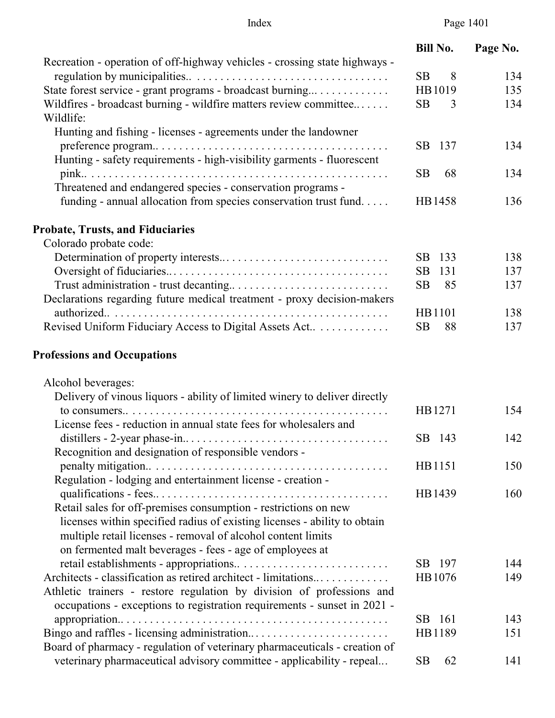Index Page 1401

|                                                                                | <b>Bill No.</b> | Page No. |
|--------------------------------------------------------------------------------|-----------------|----------|
| Recreation - operation of off-highway vehicles - crossing state highways -     |                 |          |
|                                                                                | <b>SB</b><br>8  | 134      |
| State forest service - grant programs - broadcast burning                      | HB1019          | 135      |
| Wildfires - broadcast burning - wildfire matters review committee<br>Wildlife: | <b>SB</b><br>3  | 134      |
| Hunting and fishing - licenses - agreements under the landowner                |                 |          |
|                                                                                | SB<br>137       | 134      |
| Hunting - safety requirements - high-visibility garments - fluorescent         | <b>SB</b><br>68 | 134      |
| Threatened and endangered species - conservation programs -                    |                 |          |
| funding - annual allocation from species conservation trust fund               | HB1458          | 136      |
| <b>Probate, Trusts, and Fiduciaries</b>                                        |                 |          |
| Colorado probate code:                                                         |                 |          |
|                                                                                | 133<br>SB       | 138      |
|                                                                                | SB<br>131       | 137      |
|                                                                                | <b>SB</b><br>85 | 137      |
| Declarations regarding future medical treatment - proxy decision-makers        |                 |          |
|                                                                                | HB1101          | 138      |
| Revised Uniform Fiduciary Access to Digital Assets Act                         | <b>SB</b><br>88 | 137      |
| <b>Professions and Occupations</b>                                             |                 |          |
| Alcohol beverages:                                                             |                 |          |
| Delivery of vinous liquors - ability of limited winery to deliver directly     |                 |          |
|                                                                                | HB1271          | 154      |
| License fees - reduction in annual state fees for wholesalers and              |                 |          |
|                                                                                | SB 143          | 142      |
| Recognition and designation of responsible vendors -                           |                 |          |
|                                                                                | HB1151          | 150      |
| Regulation - lodging and entertainment license - creation -                    |                 |          |
|                                                                                | HB1439          | 160      |
| Retail sales for off-premises consumption - restrictions on new                |                 |          |
| licenses within specified radius of existing licenses - ability to obtain      |                 |          |
| multiple retail licenses - removal of alcohol content limits                   |                 |          |
| on fermented malt beverages - fees - age of employees at                       |                 |          |
|                                                                                | SB 197          | 144      |
| Architects - classification as retired architect - limitations                 | HB1076          | 149      |
| Athletic trainers - restore regulation by division of professions and          |                 |          |
| occupations - exceptions to registration requirements - sunset in 2021 -       |                 |          |
|                                                                                | SB 161          | 143      |
|                                                                                | HB1189          | 151      |
| Board of pharmacy - regulation of veterinary pharmaceuticals - creation of     |                 |          |
| veterinary pharmaceutical advisory committee - applicability - repeal          | <b>SB</b><br>62 | 141      |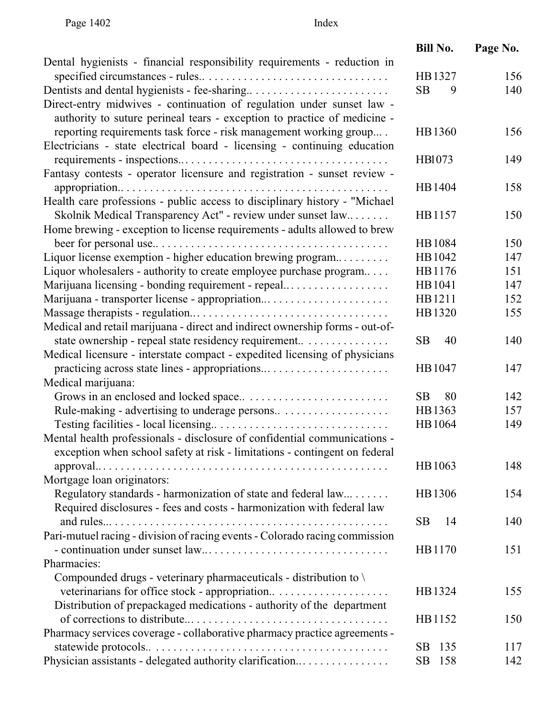|                                                                              | <b>Bill No.</b>  | Page No. |
|------------------------------------------------------------------------------|------------------|----------|
| Dental hygienists - financial responsibility requirements - reduction in     |                  |          |
|                                                                              | HB1327           | 156      |
|                                                                              | <b>SB</b><br>9   | 140      |
| Direct-entry midwives - continuation of regulation under sunset law -        |                  |          |
| authority to suture perineal tears - exception to practice of medicine -     |                  |          |
| reporting requirements task force - risk management working group            | HB1360           | 156      |
| Electricians - state electrical board - licensing - continuing education     |                  |          |
|                                                                              | HB1073           | 149      |
| Fantasy contests - operator licensure and registration - sunset review -     |                  |          |
|                                                                              | HB1404           | 158      |
| Health care professions - public access to disciplinary history - "Michael"  |                  |          |
| Skolnik Medical Transparency Act" - review under sunset law                  | HB1157           | 150      |
| Home brewing - exception to license requirements - adults allowed to brew    |                  |          |
|                                                                              | HB1084           | 150      |
| Liquor license exemption - higher education brewing program                  | HB1042           | 147      |
| Liquor wholesalers - authority to create employee purchase program           | HB1176           | 151      |
| Marijuana licensing - bonding requirement - repeal                           | HB1041           | 147      |
| Marijuana - transporter license - appropriation                              | HB1211           | 152      |
|                                                                              | HB1320           | 155      |
| Medical and retail marijuana - direct and indirect ownership forms - out-of- |                  |          |
| state ownership - repeal state residency requirement                         | <b>SB</b><br>40  | 140      |
| Medical licensure - interstate compact - expedited licensing of physicians   |                  |          |
| practicing across state lines - appropriations                               | HB1047           | 147      |
| Medical marijuana:                                                           |                  |          |
|                                                                              | SB<br>80         | 142      |
|                                                                              | HB1363           | 157      |
|                                                                              | HB1064           | 149      |
| Mental health professionals - disclosure of confidential communications -    |                  |          |
| exception when school safety at risk - limitations - contingent on federal   |                  |          |
|                                                                              | HB1063           | 148      |
| Mortgage loan originators:                                                   |                  |          |
| Regulatory standards - harmonization of state and federal law                | HB1306           | 154      |
| Required disclosures - fees and costs - harmonization with federal law       |                  |          |
|                                                                              | SB.<br>14        | 140      |
| Pari-mutuel racing - division of racing events - Colorado racing commission  |                  |          |
|                                                                              | HB1170           | 151      |
| Pharmacies:                                                                  |                  |          |
| Compounded drugs - veterinary pharmaceuticals - distribution to \            |                  |          |
| veterinarians for office stock - appropriation                               | HB1324           | 155      |
| Distribution of prepackaged medications - authority of the department        |                  |          |
|                                                                              | HB1152           | 150      |
| Pharmacy services coverage - collaborative pharmacy practice agreements -    |                  |          |
|                                                                              | 135<br>SB.       | 117      |
| Physician assistants - delegated authority clarification                     | <b>SB</b><br>158 | 142      |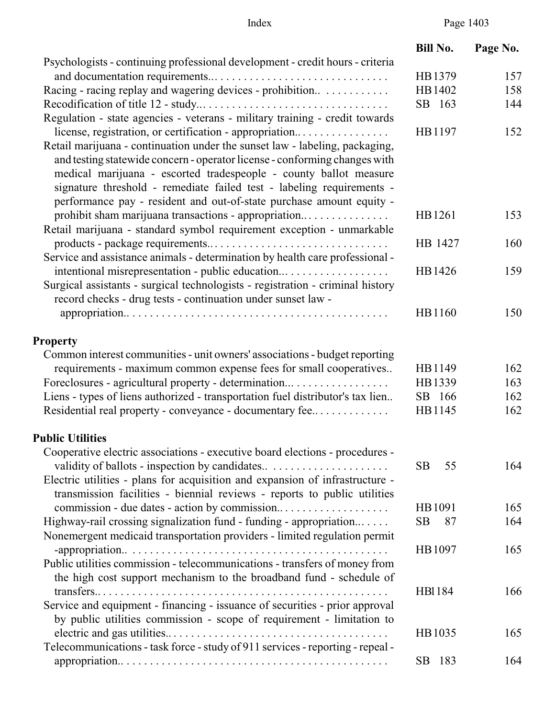# Index Page 1403

|                                                                                                                                                                                                                                                                                                                                                                                                                                            | <b>Bill No.</b> | Page No.   |
|--------------------------------------------------------------------------------------------------------------------------------------------------------------------------------------------------------------------------------------------------------------------------------------------------------------------------------------------------------------------------------------------------------------------------------------------|-----------------|------------|
| Psychologists - continuing professional development - credit hours - criteria                                                                                                                                                                                                                                                                                                                                                              | HB1379          |            |
|                                                                                                                                                                                                                                                                                                                                                                                                                                            | HB1402          | 157<br>158 |
| Racing - racing replay and wagering devices - prohibition                                                                                                                                                                                                                                                                                                                                                                                  | SB 163          | 144        |
| Regulation - state agencies - veterans - military training - credit towards                                                                                                                                                                                                                                                                                                                                                                |                 |            |
| license, registration, or certification - appropriation<br>Retail marijuana - continuation under the sunset law - labeling, packaging,<br>and testing statewide concern - operator license - conforming changes with<br>medical marijuana - escorted tradespeople - county ballot measure<br>signature threshold - remediate failed test - labeling requirements -<br>performance pay - resident and out-of-state purchase amount equity - | HB1197          | 152        |
| prohibit sham marijuana transactions - appropriation<br>Retail marijuana - standard symbol requirement exception - unmarkable                                                                                                                                                                                                                                                                                                              | HB1261          | 153        |
| Service and assistance animals - determination by health care professional -                                                                                                                                                                                                                                                                                                                                                               | HB 1427         | 160        |
| Surgical assistants - surgical technologists - registration - criminal history<br>record checks - drug tests - continuation under sunset law -                                                                                                                                                                                                                                                                                             | HB1426          | 159        |
|                                                                                                                                                                                                                                                                                                                                                                                                                                            | HB1160          | 150        |
| <b>Property</b>                                                                                                                                                                                                                                                                                                                                                                                                                            |                 |            |
| Common interest communities - unit owners' associations - budget reporting                                                                                                                                                                                                                                                                                                                                                                 |                 |            |
| requirements - maximum common expense fees for small cooperatives                                                                                                                                                                                                                                                                                                                                                                          | HB1149          | 162        |
| Foreclosures - agricultural property - determination                                                                                                                                                                                                                                                                                                                                                                                       | HB1339          | 163        |
| Liens - types of liens authorized - transportation fuel distributor's tax lien                                                                                                                                                                                                                                                                                                                                                             | SB 166          | 162        |
| Residential real property - conveyance - documentary fee                                                                                                                                                                                                                                                                                                                                                                                   | HB1145          | 162        |
| <b>Public Utilities</b>                                                                                                                                                                                                                                                                                                                                                                                                                    |                 |            |
| Cooperative electric associations - executive board elections - procedures -                                                                                                                                                                                                                                                                                                                                                               |                 |            |
| Electric utilities - plans for acquisition and expansion of infrastructure -                                                                                                                                                                                                                                                                                                                                                               | <b>SB</b><br>55 | 164        |
| transmission facilities - biennial reviews - reports to public utilities                                                                                                                                                                                                                                                                                                                                                                   |                 |            |
|                                                                                                                                                                                                                                                                                                                                                                                                                                            | HB1091          | 165        |
| Highway-rail crossing signalization fund - funding - appropriation<br>Nonemergent medicaid transportation providers - limited regulation permit                                                                                                                                                                                                                                                                                            | <b>SB</b><br>87 | 164        |
| Public utilities commission - telecommunications - transfers of money from<br>the high cost support mechanism to the broadband fund - schedule of                                                                                                                                                                                                                                                                                          | HB1097          | 165        |
| Service and equipment - financing - issuance of securities - prior approval<br>by public utilities commission - scope of requirement - limitation to                                                                                                                                                                                                                                                                                       | <b>HB1184</b>   | 166        |
| Telecommunications - task force - study of 911 services - reporting - repeal -                                                                                                                                                                                                                                                                                                                                                             | HB1035          | 165        |
|                                                                                                                                                                                                                                                                                                                                                                                                                                            | SB 183          | 164        |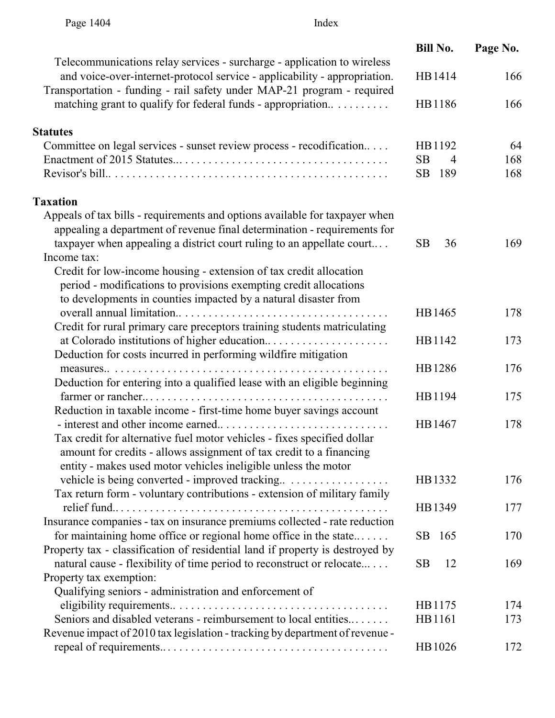|                                                                                                                                                      | <b>Bill No.</b>             | Page No. |
|------------------------------------------------------------------------------------------------------------------------------------------------------|-----------------------------|----------|
| Telecommunications relay services - surcharge - application to wireless<br>and voice-over-internet-protocol service - applicability - appropriation. | HB1414                      | 166      |
| Transportation - funding - rail safety under MAP-21 program - required                                                                               |                             |          |
| matching grant to qualify for federal funds - appropriation                                                                                          | HB1186                      | 166      |
| <b>Statutes</b>                                                                                                                                      |                             |          |
| Committee on legal services - sunset review process - recodification                                                                                 | HB1192                      | 64       |
|                                                                                                                                                      | <b>SB</b><br>$\overline{4}$ | 168      |
|                                                                                                                                                      | SB<br>189                   | 168      |
| <b>Taxation</b>                                                                                                                                      |                             |          |
| Appeals of tax bills - requirements and options available for taxpayer when                                                                          |                             |          |
| appealing a department of revenue final determination - requirements for                                                                             |                             |          |
| taxpayer when appealing a district court ruling to an appellate court                                                                                | 36<br><b>SB</b>             | 169      |
| Income tax:                                                                                                                                          |                             |          |
| Credit for low-income housing - extension of tax credit allocation                                                                                   |                             |          |
| period - modifications to provisions exempting credit allocations                                                                                    |                             |          |
| to developments in counties impacted by a natural disaster from                                                                                      |                             |          |
|                                                                                                                                                      | HB1465                      | 178      |
| Credit for rural primary care preceptors training students matriculating                                                                             |                             |          |
| Deduction for costs incurred in performing wildfire mitigation                                                                                       | HB1142                      | 173      |
|                                                                                                                                                      | HB1286                      | 176      |
| Deduction for entering into a qualified lease with an eligible beginning                                                                             |                             |          |
|                                                                                                                                                      | HB1194                      | 175      |
| Reduction in taxable income - first-time home buyer savings account                                                                                  |                             |          |
|                                                                                                                                                      | HB1467                      | 178      |
| Tax credit for alternative fuel motor vehicles - fixes specified dollar                                                                              |                             |          |
| amount for credits - allows assignment of tax credit to a financing                                                                                  |                             |          |
| entity - makes used motor vehicles ineligible unless the motor                                                                                       |                             |          |
|                                                                                                                                                      | HB1332                      | 176      |
| Tax return form - voluntary contributions - extension of military family                                                                             |                             |          |
|                                                                                                                                                      | HB1349                      | 177      |
| Insurance companies - tax on insurance premiums collected - rate reduction                                                                           |                             |          |
| for maintaining home office or regional home office in the state                                                                                     | SB 165                      | 170      |
| Property tax - classification of residential land if property is destroyed by                                                                        |                             |          |
| natural cause - flexibility of time period to reconstruct or relocate                                                                                | 12<br><b>SB</b>             | 169      |
| Property tax exemption:                                                                                                                              |                             |          |
| Qualifying seniors - administration and enforcement of                                                                                               |                             |          |
| Seniors and disabled veterans - reimbursement to local entities                                                                                      | HB1175                      | 174      |
| Revenue impact of 2010 tax legislation - tracking by department of revenue -                                                                         | HB1161                      | 173      |
|                                                                                                                                                      | HB1026                      | 172      |
|                                                                                                                                                      |                             |          |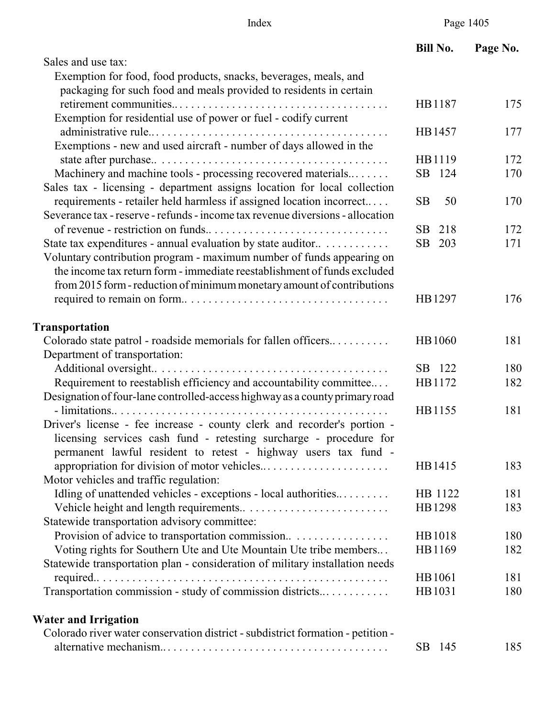|                                                                                 | <b>Bill No.</b>  | Page No. |
|---------------------------------------------------------------------------------|------------------|----------|
| Sales and use tax:                                                              |                  |          |
| Exemption for food, food products, snacks, beverages, meals, and                |                  |          |
| packaging for such food and meals provided to residents in certain              |                  |          |
|                                                                                 | HB1187           | 175      |
| Exemption for residential use of power or fuel - codify current                 |                  |          |
|                                                                                 | HB1457           | 177      |
| Exemptions - new and used aircraft - number of days allowed in the              |                  |          |
|                                                                                 | HB1119           | 172      |
| Machinery and machine tools - processing recovered materials                    | SB 124           | 170      |
| Sales tax - licensing - department assigns location for local collection        |                  |          |
| requirements - retailer held harmless if assigned location incorrect            | SB<br>50         | 170      |
| Severance tax - reserve - refunds - income tax revenue diversions - allocation  |                  |          |
|                                                                                 | 218<br>SB        | 172      |
| State tax expenditures - annual evaluation by state auditor                     | SB 203           | 171      |
| Voluntary contribution program - maximum number of funds appearing on           |                  |          |
| the income tax return form - immediate reestablishment of funds excluded        |                  |          |
| from 2015 form - reduction of minimum monetary amount of contributions          |                  |          |
|                                                                                 | HB1297           | 176      |
| <b>Transportation</b>                                                           |                  |          |
| Colorado state patrol - roadside memorials for fallen officers                  | HB1060           | 181      |
| Department of transportation:                                                   |                  |          |
|                                                                                 | SB 122           | 180      |
| Requirement to reestablish efficiency and accountability committee              | HB1172           | 182      |
| Designation of four-lane controlled-access highway as a county primary road     |                  |          |
|                                                                                 | HB1155           | 181      |
| Driver's license - fee increase - county clerk and recorder's portion -         |                  |          |
| licensing services cash fund - retesting surcharge - procedure for              |                  |          |
| permanent lawful resident to retest - highway users tax fund -                  |                  |          |
|                                                                                 | HB1415           | 183      |
| Motor vehicles and traffic regulation:                                          |                  |          |
| Idling of unattended vehicles - exceptions - local authorities                  | HB 1122          | 181      |
|                                                                                 | HB1298           | 183      |
| Statewide transportation advisory committee:                                    |                  |          |
|                                                                                 | HB1018           | 180      |
| Voting rights for Southern Ute and Ute Mountain Ute tribe members               | HB1169           | 182      |
| Statewide transportation plan - consideration of military installation needs    |                  |          |
|                                                                                 | HB1061           | 181      |
| Transportation commission - study of commission districts                       | HB1031           | 180      |
| <b>Water and Irrigation</b>                                                     |                  |          |
| Colorado river water conservation district - subdistrict formation - petition - |                  |          |
|                                                                                 | <b>SB</b><br>145 | 185      |
|                                                                                 |                  |          |